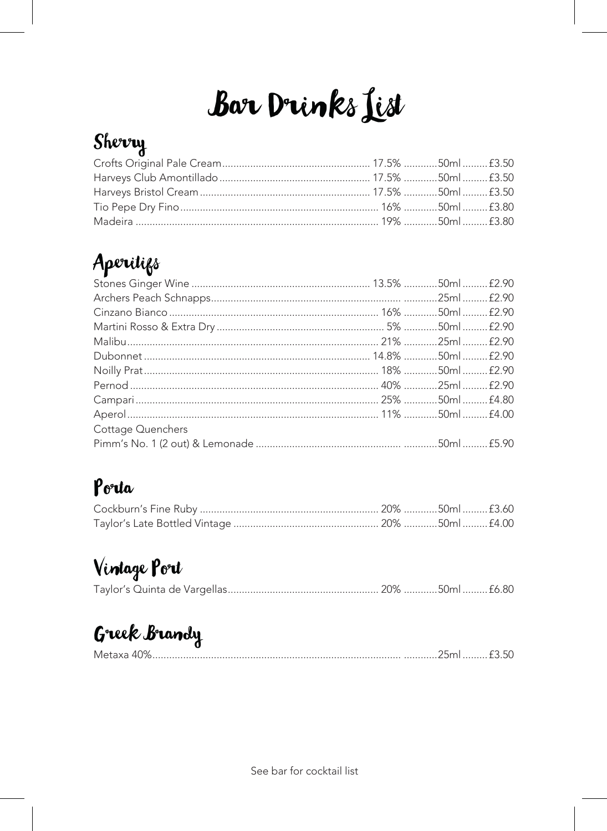# **Bar Drinks List**

## Sherry

## Aperitifs

| Cottage Quenchers |  |  |
|-------------------|--|--|
|                   |  |  |

### Porta

## Vintage Port

## Greek Brandy

| Metaxa<br>41/6 |  |
|----------------|--|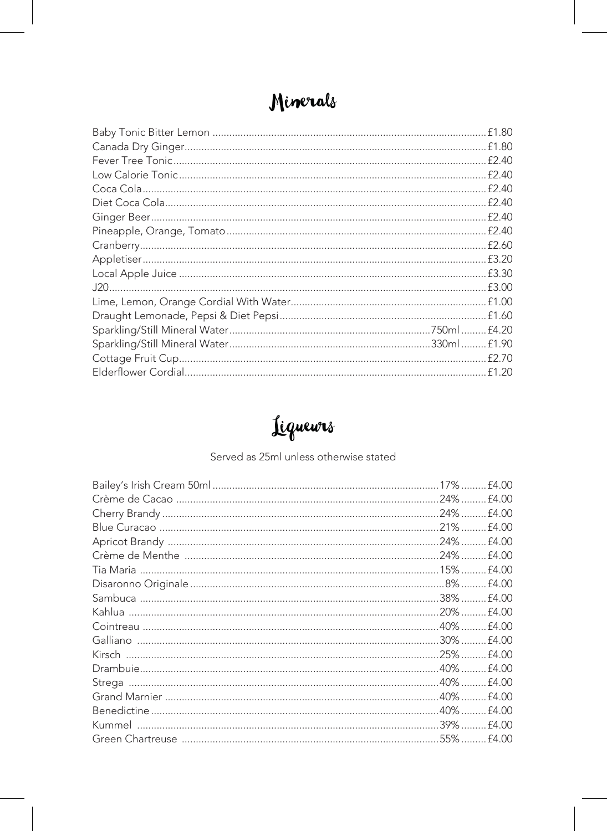### Minerals

| £1.80 |
|-------|
| £1.80 |
| £2.40 |
| £2.40 |
| £2.40 |
| £2.40 |
| £2.40 |
| £2.40 |
| £2.60 |
| £3.20 |
| £3.30 |
| £3.00 |
| £1.00 |
| £1.60 |
| £4.20 |
| £1.90 |
| £2.70 |
| £1.20 |

## Liguewrs

#### Served as 25ml unless otherwise stated

|                                                       | $17%$ . | £4.00 |
|-------------------------------------------------------|---------|-------|
|                                                       | $24\%$  | £4.00 |
|                                                       | $24\%$  | £4.00 |
|                                                       | 21%     | £4.00 |
|                                                       | .24%    | £4.00 |
|                                                       |         | £4.00 |
|                                                       |         | £4.00 |
|                                                       |         | £4.00 |
|                                                       |         | £4.00 |
|                                                       | 20%     | £4.00 |
|                                                       |         | £4.00 |
|                                                       | .30%    | £4.00 |
|                                                       |         | £4.00 |
|                                                       |         | £4.00 |
|                                                       |         | £4.00 |
|                                                       |         | £4.00 |
|                                                       |         | £4.00 |
|                                                       |         | £4.00 |
| Green Chartreuse ………………………………………………………………………………55%……… |         | £4.00 |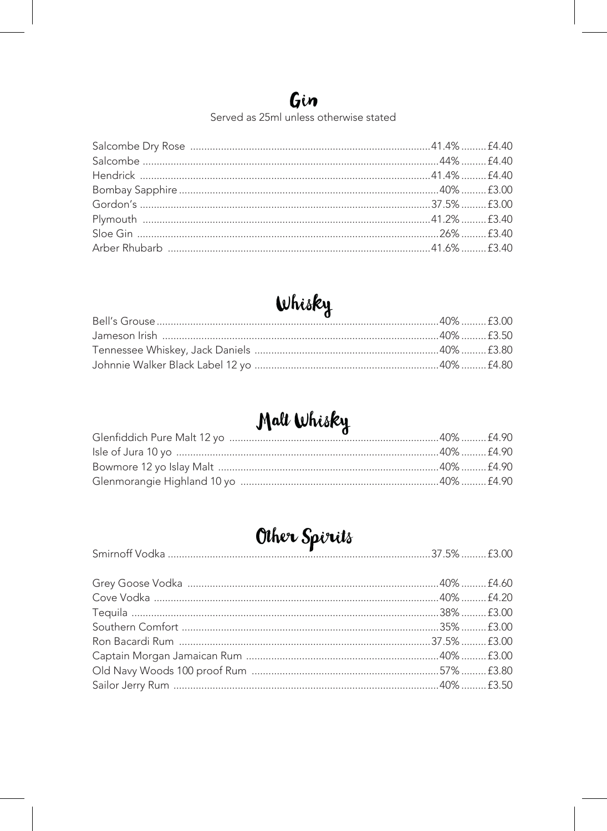#### Gin

Served as 25ml unless otherwise stated

#### Whisky

### Malt Whisky

## Other Spirits